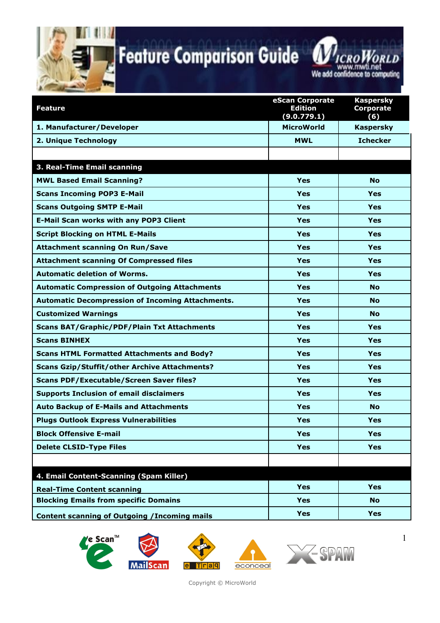



| We add confidence to computing |  |  |  |
|--------------------------------|--|--|--|
|                                |  |  |  |
|                                |  |  |  |

| <b>Feature</b>                                          | eScan Corporate<br><b>Edition</b> | <b>Kaspersky</b><br><b>Corporate</b> |
|---------------------------------------------------------|-----------------------------------|--------------------------------------|
|                                                         | (9.0.779.1)                       | (6)                                  |
| 1. Manufacturer/Developer                               | <b>MicroWorld</b>                 | <b>Kaspersky</b>                     |
| 2. Unique Technology                                    | <b>MWL</b>                        | <b>Ichecker</b>                      |
|                                                         |                                   |                                      |
| 3. Real-Time Email scanning                             |                                   |                                      |
| <b>MWL Based Email Scanning?</b>                        | Yes                               | <b>No</b>                            |
| <b>Scans Incoming POP3 E-Mail</b>                       | Yes                               | Yes                                  |
| <b>Scans Outgoing SMTP E-Mail</b>                       | Yes                               | Yes                                  |
| <b>E-Mail Scan works with any POP3 Client</b>           | Yes                               | <b>Yes</b>                           |
| <b>Script Blocking on HTML E-Mails</b>                  | Yes                               | Yes                                  |
| <b>Attachment scanning On Run/Save</b>                  | Yes                               | <b>Yes</b>                           |
| <b>Attachment scanning Of Compressed files</b>          | Yes                               | Yes                                  |
| <b>Automatic deletion of Worms.</b>                     | Yes                               | <b>Yes</b>                           |
| <b>Automatic Compression of Outgoing Attachments</b>    | Yes                               | <b>No</b>                            |
| <b>Automatic Decompression of Incoming Attachments.</b> | Yes                               | <b>No</b>                            |
| <b>Customized Warnings</b>                              | Yes                               | <b>No</b>                            |
| <b>Scans BAT/Graphic/PDF/Plain Txt Attachments</b>      | Yes                               | <b>Yes</b>                           |
| <b>Scans BINHEX</b>                                     | Yes                               | Yes                                  |
| <b>Scans HTML Formatted Attachments and Body?</b>       | Yes                               | <b>Yes</b>                           |
| <b>Scans Gzip/Stuffit/other Archive Attachments?</b>    | Yes                               | Yes                                  |
| <b>Scans PDF/Executable/Screen Saver files?</b>         | Yes                               | <b>Yes</b>                           |
| <b>Supports Inclusion of email disclaimers</b>          | Yes                               | Yes                                  |
| <b>Auto Backup of E-Mails and Attachments</b>           | Yes                               | <b>No</b>                            |
| <b>Plugs Outlook Express Vulnerabilities</b>            | Yes                               | Yes                                  |
| <b>Block Offensive E-mail</b>                           | Yes                               | Yes                                  |
| <b>Delete CLSID-Type Files</b>                          | Yes                               | <b>Yes</b>                           |
|                                                         |                                   |                                      |
| 4. Email Content-Scanning (Spam Killer)                 |                                   |                                      |
| <b>Real-Time Content scanning</b>                       | <b>Yes</b>                        | <b>Yes</b>                           |
| <b>Blocking Emails from specific Domains</b>            | Yes                               | <b>No</b>                            |
| <b>Content scanning of Outgoing / Incoming mails</b>    | Yes                               | <b>Yes</b>                           |



Copyright © MicroWorld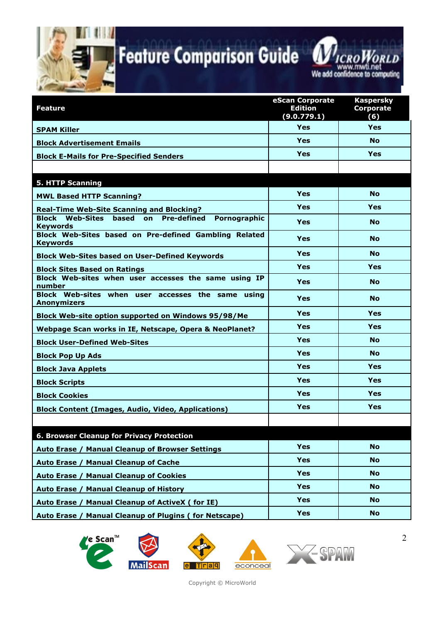



| <b>Feature</b>                                                           | eScan Corporate<br><b>Edition</b><br>(9.0.779.1) | <b>Kaspersky</b><br><b>Corporate</b><br>(6) |
|--------------------------------------------------------------------------|--------------------------------------------------|---------------------------------------------|
| <b>SPAM Killer</b>                                                       | <b>Yes</b>                                       | <b>Yes</b>                                  |
| <b>Block Advertisement Emails</b>                                        | <b>Yes</b>                                       | <b>No</b>                                   |
| <b>Block E-Mails for Pre-Specified Senders</b>                           | Yes                                              | <b>Yes</b>                                  |
|                                                                          |                                                  |                                             |
| <b>5. HTTP Scanning</b>                                                  |                                                  |                                             |
| <b>MWL Based HTTP Scanning?</b>                                          | Yes                                              | <b>No</b>                                   |
| <b>Real-Time Web-Site Scanning and Blocking?</b>                         | <b>Yes</b>                                       | Yes                                         |
| Block Web-Sites based on Pre-defined<br>Pornographic<br><b>Keywords</b>  | <b>Yes</b>                                       | <b>No</b>                                   |
| Block Web-Sites based on Pre-defined Gambling Related<br><b>Keywords</b> | Yes                                              | <b>No</b>                                   |
| <b>Block Web-Sites based on User-Defined Keywords</b>                    | <b>Yes</b>                                       | <b>No</b>                                   |
| <b>Block Sites Based on Ratings</b>                                      | Yes                                              | Yes                                         |
| Block Web-sites when user accesses the same using IP<br>number           | <b>Yes</b>                                       | <b>No</b>                                   |
| Block Web-sites when user accesses the same using<br><b>Anonymizers</b>  | <b>Yes</b>                                       | <b>No</b>                                   |
| Block Web-site option supported on Windows 95/98/Me                      | <b>Yes</b>                                       | <b>Yes</b>                                  |
| Webpage Scan works in IE, Netscape, Opera & NeoPlanet?                   | <b>Yes</b>                                       | <b>Yes</b>                                  |
| <b>Block User-Defined Web-Sites</b>                                      | <b>Yes</b>                                       | <b>No</b>                                   |
| <b>Block Pop Up Ads</b>                                                  | <b>Yes</b>                                       | <b>No</b>                                   |
| <b>Block Java Applets</b>                                                | <b>Yes</b>                                       | <b>Yes</b>                                  |
| <b>Block Scripts</b>                                                     | <b>Yes</b>                                       | <b>Yes</b>                                  |
| <b>Block Cookies</b>                                                     | <b>Yes</b>                                       | <b>Yes</b>                                  |
| <b>Block Content (Images, Audio, Video, Applications)</b>                | <b>Yes</b>                                       | Yes                                         |
|                                                                          |                                                  |                                             |
| 6. Browser Cleanup for Privacy Protection                                |                                                  |                                             |
| <b>Manual Cleanup of Browser Settings</b><br>Auto Erase /                | <b>Yes</b>                                       | <b>No</b>                                   |
| <b>Manual Cleanup of Cache</b><br>Auto Erase /                           | <b>Yes</b>                                       | <b>No</b>                                   |
| <b>Manual Cleanup of Cookies</b><br>Auto Erase /                         | <b>Yes</b>                                       | <b>No</b>                                   |
| <b>Manual Cleanup of History</b><br>Auto Erase /                         | <b>Yes</b>                                       | <b>No</b>                                   |
| <b>Manual Cleanup of ActiveX (for IE)</b><br>Auto Erase /                | <b>Yes</b>                                       | No.                                         |
| <b>Manual Cleanup of Plugins (for Netscape)</b><br>Auto Erase /          | <b>Yes</b>                                       | <b>No</b>                                   |









Copyright © MicroWorld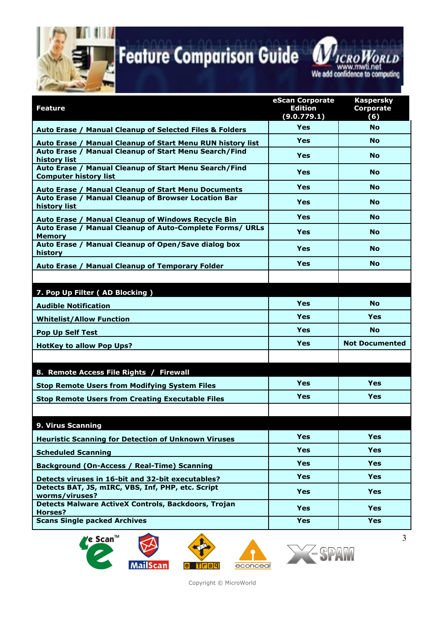



| <b>Feature</b>                                                                                                                      | eScan Corporate<br><b>Edition</b> | <b>Kaspersky</b><br><b>Corporate</b> |
|-------------------------------------------------------------------------------------------------------------------------------------|-----------------------------------|--------------------------------------|
|                                                                                                                                     | (9.0.779.1)<br>Yes                | (6)<br><b>No</b>                     |
| Auto Erase / Manual Cleanup of Selected Files & Folders                                                                             | Yes                               | <b>No</b>                            |
| Auto Erase / Manual Cleanup of Start Menu RUN history list<br>Auto Erase / Manual Cleanup of Start Menu Search/Find<br>history list | <b>Yes</b>                        | <b>No</b>                            |
| Auto Erase / Manual Cleanup of Start Menu Search/Find<br><b>Computer history list</b>                                               | Yes                               | <b>No</b>                            |
| Auto Erase / Manual Cleanup of Start Menu Documents                                                                                 | <b>Yes</b>                        | <b>No</b>                            |
| Auto Erase / Manual Cleanup of Browser Location Bar<br>history list                                                                 | <b>Yes</b>                        | <b>No</b>                            |
| Auto Erase / Manual Cleanup of Windows Recycle Bin                                                                                  | Yes                               | <b>No</b>                            |
| Auto Erase / Manual Cleanup of Auto-Complete Forms/ URLs<br><b>Memory</b>                                                           | <b>Yes</b>                        | <b>No</b>                            |
| Auto Erase / Manual Cleanup of Open/Save dialog box<br>history                                                                      | Yes                               | <b>No</b>                            |
| Auto Erase / Manual Cleanup of Temporary Folder                                                                                     | Yes                               | <b>No</b>                            |
|                                                                                                                                     |                                   |                                      |
| 7. Pop Up Filter (AD Blocking)                                                                                                      |                                   |                                      |
| <b>Audible Notification</b>                                                                                                         | Yes                               | <b>No</b>                            |
| <b>Whitelist/Allow Function</b>                                                                                                     | <b>Yes</b>                        | <b>Yes</b>                           |
| <b>Pop Up Self Test</b>                                                                                                             | Yes                               | <b>No</b>                            |
| <b>HotKey to allow Pop Ups?</b>                                                                                                     | Yes                               | <b>Not Documented</b>                |
|                                                                                                                                     |                                   |                                      |
| 8. Remote Access File Rights / Firewall                                                                                             |                                   |                                      |
| <b>Stop Remote Users from Modifying System Files</b>                                                                                | Yes                               | Yes                                  |
| <b>Stop Remote Users from Creating Executable Files</b>                                                                             | Yes                               | <b>Yes</b>                           |
|                                                                                                                                     |                                   |                                      |
| 9. Virus Scanning                                                                                                                   |                                   |                                      |
| <b>Heuristic Scanning for Detection of Unknown Viruses</b>                                                                          | <b>Yes</b>                        | <b>Yes</b>                           |
| <b>Scheduled Scanning</b>                                                                                                           | <b>Yes</b>                        | <b>Yes</b>                           |
| <b>Background (On-Access / Real-Time) Scanning</b>                                                                                  | <b>Yes</b>                        | <b>Yes</b>                           |
| Detects viruses in 16-bit and 32-bit executables?                                                                                   | <b>Yes</b>                        | <b>Yes</b>                           |
| Detects BAT, JS, mIRC, VBS, Inf, PHP, etc. Script<br>worms/viruses?                                                                 | <b>Yes</b>                        | <b>Yes</b>                           |
| <b>Detects Malware ActiveX Controls, Backdoors, Trojan</b><br>Horses?                                                               | <b>Yes</b>                        | <b>Yes</b>                           |
| <b>Scans Single packed Archives</b>                                                                                                 | <b>Yes</b>                        | <b>Yes</b>                           |







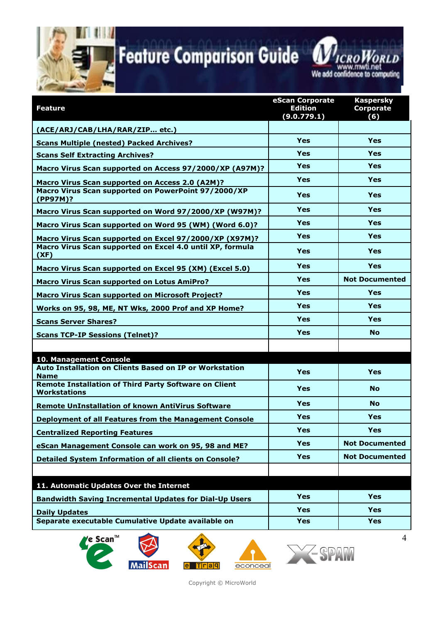

www.mwti.net

| <b>Feature</b>                                                                      | eScan Corporate<br><b>Edition</b><br>(9.0.779.1) | <b>Kaspersky</b><br><b>Corporate</b><br>(6) |
|-------------------------------------------------------------------------------------|--------------------------------------------------|---------------------------------------------|
| (ACE/ARJ/CAB/LHA/RAR/ZIP etc.)                                                      |                                                  |                                             |
| <b>Scans Multiple (nested) Packed Archives?</b>                                     | Yes                                              | <b>Yes</b>                                  |
| <b>Scans Self Extracting Archives?</b>                                              | <b>Yes</b>                                       | <b>Yes</b>                                  |
| Macro Virus Scan supported on Access 97/2000/XP (A97M)?                             | <b>Yes</b>                                       | <b>Yes</b>                                  |
| Macro Virus Scan supported on Access 2.0 (A2M)?                                     | <b>Yes</b>                                       | <b>Yes</b>                                  |
| Macro Virus Scan supported on PowerPoint 97/2000/XP<br>(PP97M)?                     | Yes                                              | <b>Yes</b>                                  |
| Macro Virus Scan supported on Word 97/2000/XP (W97M)?                               | <b>Yes</b>                                       | <b>Yes</b>                                  |
| Macro Virus Scan supported on Word 95 (WM) (Word 6.0)?                              | Yes                                              | <b>Yes</b>                                  |
| Macro Virus Scan supported on Excel 97/2000/XP (X97M)?                              | Yes                                              | <b>Yes</b>                                  |
| Macro Virus Scan supported on Excel 4.0 until XP, formula<br>(XF)                   | <b>Yes</b>                                       | Yes                                         |
| Macro Virus Scan supported on Excel 95 (XM) (Excel 5.0)                             | Yes                                              | <b>Yes</b>                                  |
| <b>Macro Virus Scan supported on Lotus AmiPro?</b>                                  | <b>Yes</b>                                       | <b>Not Documented</b>                       |
| <b>Macro Virus Scan supported on Microsoft Project?</b>                             | <b>Yes</b>                                       | <b>Yes</b>                                  |
| Works on 95, 98, ME, NT Wks, 2000 Prof and XP Home?                                 | Yes                                              | <b>Yes</b>                                  |
| <b>Scans Server Shares?</b>                                                         | Yes                                              | <b>Yes</b>                                  |
| <b>Scans TCP-IP Sessions (Telnet)?</b>                                              | Yes                                              | <b>No</b>                                   |
|                                                                                     |                                                  |                                             |
| 10. Management Console                                                              |                                                  |                                             |
| <b>Auto Installation on Clients Based on IP or Workstation</b><br><b>Name</b>       | Yes                                              | <b>Yes</b>                                  |
| <b>Remote Installation of Third Party Software on Client</b><br><b>Workstations</b> | Yes                                              | <b>No</b>                                   |
| <b>Remote UnInstallation of known AntiVirus Software</b>                            | Yes                                              | <b>No</b>                                   |
| Deployment of all Features from the Management Console                              | <b>Yes</b>                                       | <b>Yes</b>                                  |
| <b>Centralized Reporting Features</b>                                               | Yes                                              | Yes                                         |
| eScan Management Console can work on 95, 98 and ME?                                 | <b>Yes</b>                                       | <b>Not Documented</b>                       |
| <b>Detailed System Information of all clients on Console?</b>                       | <b>Yes</b>                                       | <b>Not Documented</b>                       |
|                                                                                     |                                                  |                                             |
| 11. Automatic Updates Over the Internet                                             |                                                  |                                             |
| <b>Bandwidth Saving Incremental Updates for Dial-Up Users</b>                       | <b>Yes</b>                                       | <b>Yes</b>                                  |
| <b>Daily Updates</b>                                                                | <b>Yes</b>                                       | <b>Yes</b>                                  |
| Separate executable Cumulative Update available on                                  | <b>Yes</b>                                       | <b>Yes</b>                                  |